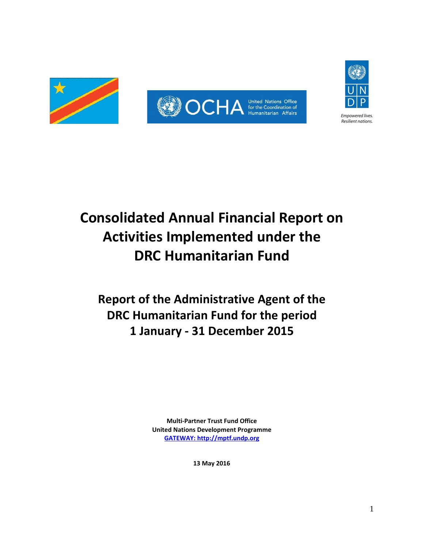



# **Consolidated Annual Financial Report on Activities Implemented under the DRC Humanitarian Fund**

# **Report of the Administrative Agent of the DRC Humanitarian Fund for the period 1 January - 31 December 2015**

**Multi-Partner Trust Fund Office United Nations Development Programme [GATEWAY: http://mptf.undp.org](http://mptf.undp.org/)**

**13 May 2016**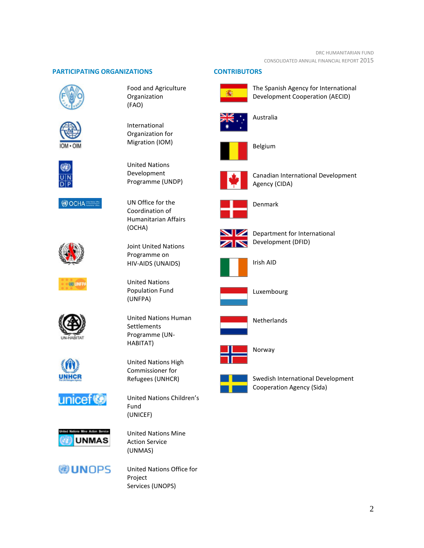# **PARTICIPATING ORGANIZATIONS CONTRIBUTORS**







Food and Agriculture Organization (FAO)

International Organization for Migration (IOM)



UN Office for the Coordination of Humanitarian Affairs (OCHA)

Joint United Nations Programme on HIV-AIDS (UNAIDS)

United Nations Human

United Nations High Commissioner for Refugees (UNHCR)

United Nations Population Fund

(UNFPA)

**Settlements** Programme (UN-HABITAT)



**OOCHAEE** 

**SID LINE** 









**WUNOPS** 

United Nations Children's Fund (UNICEF)

United Nations Mine Action Service (UNMAS)

United Nations Office for Project Services (UNOPS)



The Spanish Agency for International Development Cooperation (AECID)



Australia



Belgium



Canadian International Development Agency (CIDA)



Denmark



Department for International Development (DFID)



Irish AID



Luxembourg



**Netherlands** 



Norway



Swedish International Development Cooperation Agency (Sida)

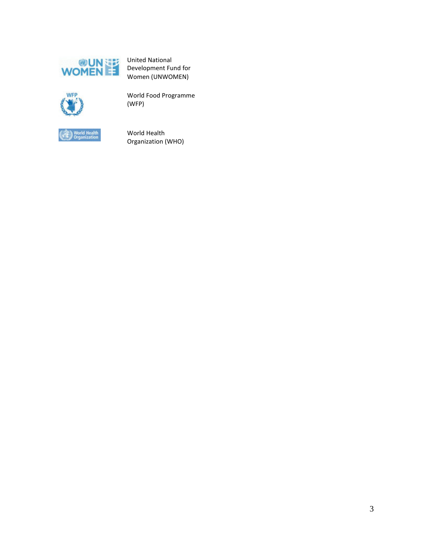

United National Development Fund for Women (UNWOMEN)



World Food Programme (WFP)



World Health Organization (WHO)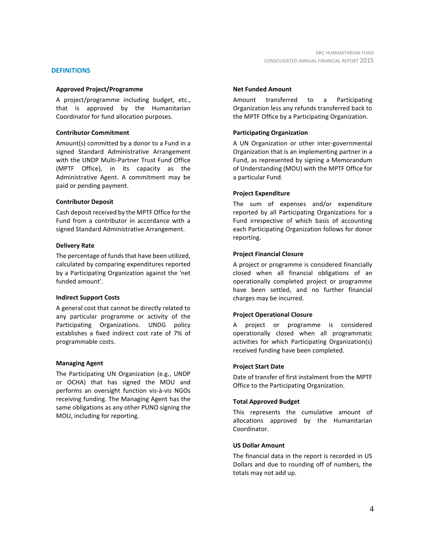# **DEFINITIONS**

# **Approved Project/Programme**

A project/programme including budget, etc., that is approved by the Humanitarian Coordinator for fund allocation purposes.

## **Contributor Commitment**

Amount(s) committed by a donor to a Fund in a signed Standard Administrative Arrangement with the UNDP Multi-Partner Trust Fund Office (MPTF Office), in its capacity as the Administrative Agent. A commitment may be paid or pending payment.

# **Contributor Deposit**

Cash deposit received by the MPTF Office for the Fund from a contributor in accordance with a signed Standard Administrative Arrangement.

# **Delivery Rate**

The percentage of funds that have been utilized, calculated by comparing expenditures reported by a Participating Organization against the 'net funded amount'.

## **Indirect Support Costs**

A general cost that cannot be directly related to any particular programme or activity of the Participating Organizations. UNDG policy establishes a fixed indirect cost rate of 7% of programmable costs.

# **Managing Agent**

The Participating UN Organization (e.g., UNDP or OCHA) that has signed the MOU and performs an oversight function vis-à-vis NGOs receiving funding. The Managing Agent has the same obligations as any other PUNO signing the MOU, including for reporting.

# **Net Funded Amount**

Amount transferred to a Participating Organization less any refunds transferred back to the MPTF Office by a Participating Organization.

# **Participating Organization**

A UN Organization or other inter-governmental Organization that is an implementing partner in a Fund, as represented by signing a Memorandum of Understanding (MOU) with the MPTF Office for a particular Fund.

# **Project Expenditure**

The sum of expenses and/or expenditure reported by all Participating Organizations for a Fund irrespective of which basis of accounting each Participating Organization follows for donor reporting.

# **Project Financial Closure**

A project or programme is considered financially closed when all financial obligations of an operationally completed project or programme have been settled, and no further financial charges may be incurred.

# **Project Operational Closure**

A project or programme is considered operationally closed when all programmatic activities for which Participating Organization(s) received funding have been completed.

## **Project Start Date**

Date of transfer of first instalment from the MPTF Office to the Participating Organization.

# **Total Approved Budget**

This represents the cumulative amount of allocations approved by the Humanitarian Coordinator.

## **US Dollar Amount**

The financial data in the report is recorded in US Dollars and due to rounding off of numbers, the totals may not add up.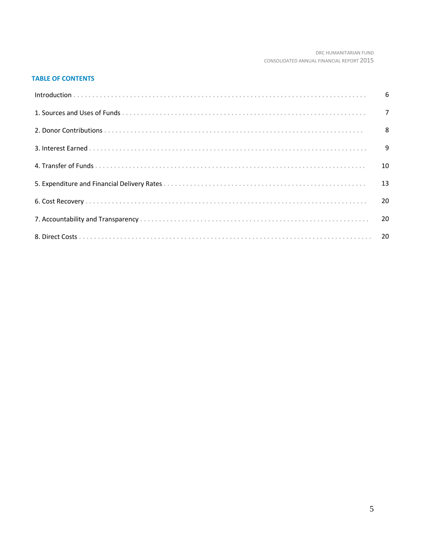# DRC HUMANITARIAN FUND CONSOLIDATED ANNUAL FINANCIAL REPORT 2015

# **TABLE OF CONTENTS**

| - 10 |
|------|
|      |
|      |
|      |
|      |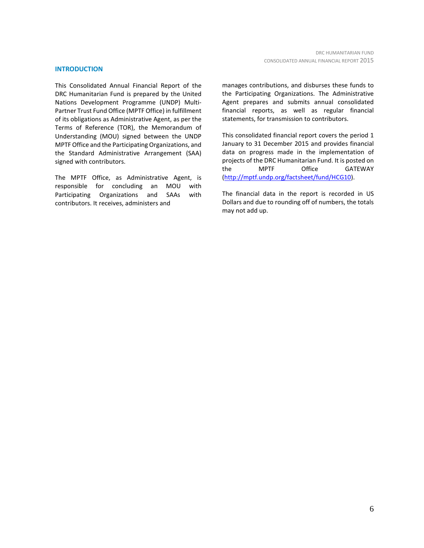#### **INTRODUCTION**

This Consolidated Annual Financial Report of the DRC Humanitarian Fund is prepared by the United Nations Development Programme (UNDP) Multi-Partner Trust Fund Office (MPTF Office) in fulfillment of its obligations as Administrative Agent, as per the Terms of Reference (TOR), the Memorandum of Understanding (MOU) signed between the UNDP MPTF Office and the Participating Organizations, and the Standard Administrative Arrangement (SAA) signed with contributors.

The MPTF Office, as Administrative Agent, is responsible for concluding an MOU with Participating Organizations and SAAs with contributors. It receives, administers and

manages contributions, and disburses these funds to the Participating Organizations. The Administrative Agent prepares and submits annual consolidated financial reports, as well as regular financial statements, for transmission to contributors.

This consolidated financial report covers the period 1 January to 31 December 2015 and provides financial data on progress made in the implementation of projects of the DRC Humanitarian Fund. It is posted on the MPTF Office GATEWAY [\(http://mptf.undp.org/factsheet/fund/HCG10\)](http://mptf.undp.org/factsheet/fund/HCG10).

The financial data in the report is recorded in US Dollars and due to rounding off of numbers, the totals may not add up.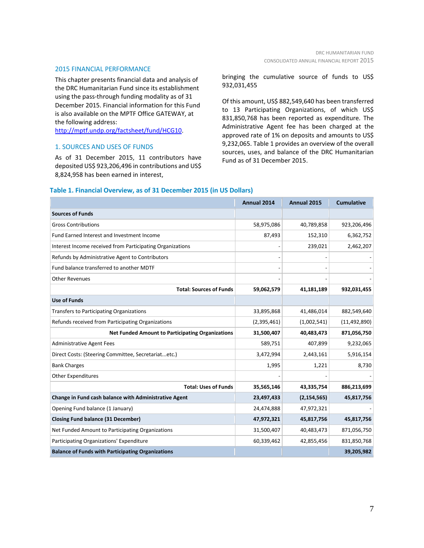#### 2015 FINANCIAL PERFORMANCE

This chapter presents financial data and analysis of the DRC Humanitarian Fund since its establishment using the pass-through funding modality as of 31 December 2015. Financial information for this Fund is also available on the MPTF Office GATEWAY, at the following address:

[http://mptf.undp.org/factsheet/fund/HCG10.](http://mptf.undp.org/factsheet/fund/HCG10)

# 1. SOURCES AND USES OF FUNDS

As of 31 December 2015, 11 contributors have deposited US\$ 923,206,496 in contributions and US\$ 8,824,958 has been earned in interest,

bringing the cumulative source of funds to US\$ 932,031,455

Of this amount, US\$ 882,549,640 has been transferred to 13 Participating Organizations, of which US\$ 831,850,768 has been reported as expenditure. The Administrative Agent fee has been charged at the approved rate of 1% on deposits and amounts to US\$ 9,232,065. Table 1 provides an overview of the overall sources, uses, and balance of the DRC Humanitarian Fund as of 31 December 2015.

# **Table 1. Financial Overview, as of 31 December 2015 (in US Dollars)**

|                                                           | Annual 2014 | <b>Annual 2015</b> | <b>Cumulative</b> |
|-----------------------------------------------------------|-------------|--------------------|-------------------|
| <b>Sources of Funds</b>                                   |             |                    |                   |
| <b>Gross Contributions</b>                                | 58,975,086  | 40,789,858         | 923,206,496       |
| Fund Earned Interest and Investment Income                | 87,493      | 152,310            | 6,362,752         |
| Interest Income received from Participating Organizations |             | 239,021            | 2,462,207         |
| Refunds by Administrative Agent to Contributors           |             |                    |                   |
| Fund balance transferred to another MDTF                  |             |                    |                   |
| <b>Other Revenues</b>                                     |             |                    |                   |
| <b>Total: Sources of Funds</b>                            | 59,062,579  | 41,181,189         | 932,031,455       |
| <b>Use of Funds</b>                                       |             |                    |                   |
| Transfers to Participating Organizations                  | 33,895,868  | 41,486,014         | 882,549,640       |
| Refunds received from Participating Organizations         | (2,395,461) | (1,002,541)        | (11, 492, 890)    |
| <b>Net Funded Amount to Participating Organizations</b>   | 31,500,407  | 40,483,473         | 871,056,750       |
| <b>Administrative Agent Fees</b>                          | 589,751     | 407,899            | 9,232,065         |
| Direct Costs: (Steering Committee, Secretariatetc.)       | 3,472,994   | 2,443,161          | 5,916,154         |
| <b>Bank Charges</b>                                       | 1,995       | 1,221              | 8,730             |
| <b>Other Expenditures</b>                                 |             |                    |                   |
| <b>Total: Uses of Funds</b>                               | 35,565,146  | 43,335,754         | 886,213,699       |
| Change in Fund cash balance with Administrative Agent     | 23,497,433  | (2, 154, 565)      | 45,817,756        |
| Opening Fund balance (1 January)                          | 24,474,888  | 47,972,321         |                   |
| <b>Closing Fund balance (31 December)</b>                 | 47,972,321  | 45,817,756         | 45,817,756        |
| Net Funded Amount to Participating Organizations          | 31,500,407  | 40,483,473         | 871,056,750       |
| Participating Organizations' Expenditure                  | 60,339,462  | 42,855,456         | 831,850,768       |
| <b>Balance of Funds with Participating Organizations</b>  |             |                    | 39,205,982        |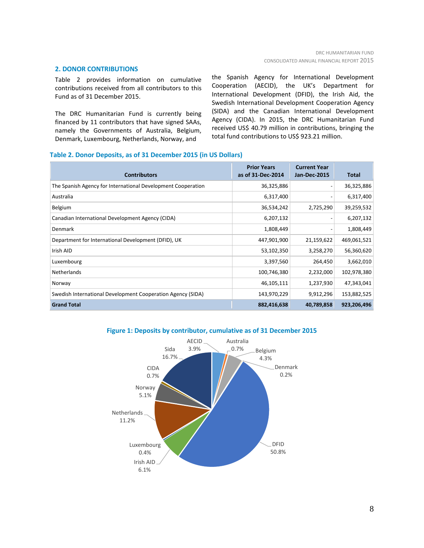# **2. DONOR CONTRIBUTIONS**

Table 2 provides information on cumulative contributions received from all contributors to this Fund as of 31 December 2015.

The DRC Humanitarian Fund is currently being financed by 11 contributors that have signed SAAs, namely the Governments of Australia, Belgium, Denmark, Luxembourg, Netherlands, Norway, and

the Spanish Agency for International Development Cooperation (AECID), the UK's Department for International Development (DFID), the Irish Aid, the Swedish International Development Cooperation Agency (SIDA) and the Canadian International Development Agency (CIDA). In 2015, the DRC Humanitarian Fund received US\$ 40.79 million in contributions, bringing the total fund contributions to US\$ 923.21 million.

## **Table 2. Donor Deposits, as of 31 December 2015 (in US Dollars)**

| <b>Contributors</b>                                          | <b>Prior Years</b><br>as of 31-Dec-2014 | <b>Current Year</b><br><b>Jan-Dec-2015</b> | <b>Total</b> |
|--------------------------------------------------------------|-----------------------------------------|--------------------------------------------|--------------|
| The Spanish Agency for International Development Cooperation | 36,325,886                              |                                            | 36,325,886   |
| Australia                                                    | 6,317,400                               |                                            | 6,317,400    |
| Belgium                                                      | 36,534,242                              | 2,725,290                                  | 39,259,532   |
| Canadian International Development Agency (CIDA)             | 6,207,132                               |                                            | 6,207,132    |
| <b>Denmark</b>                                               | 1,808,449                               |                                            | 1,808,449    |
| Department for International Development (DFID), UK          | 447,901,900                             | 21,159,622                                 | 469,061,521  |
| Irish AID                                                    | 53,102,350                              | 3,258,270                                  | 56,360,620   |
| Luxembourg                                                   | 3,397,560                               | 264,450                                    | 3,662,010    |
| Netherlands                                                  | 100,746,380                             | 2,232,000                                  | 102,978,380  |
| Norway                                                       | 46,105,111                              | 1,237,930                                  | 47,343,041   |
| Swedish International Development Cooperation Agency (SIDA)  | 143,970,229                             | 9,912,296                                  | 153,882,525  |
| <b>Grand Total</b>                                           | 882,416,638                             | 40,789,858                                 | 923,206,496  |



# **Figure 1: Deposits by contributor, cumulative as of 31 December 2015**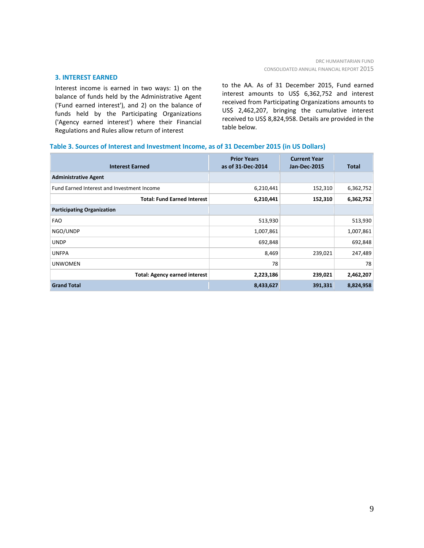# **3. INTEREST EARNED**

Interest income is earned in two ways: 1) on the balance of funds held by the Administrative Agent ('Fund earned interest'), and 2) on the balance of funds held by the Participating Organizations ('Agency earned interest') where their Financial Regulations and Rules allow return of interest

to the AA. As of 31 December 2015, Fund earned interest amounts to US\$ 6,362,752 and interest received from Participating Organizations amounts to US\$ 2,462,207, bringing the cumulative interest received to US\$ 8,824,958. Details are provided in the table below.

## **Table 3. Sources of Interest and Investment Income, as of 31 December 2015 (in US Dollars)**

| <b>Interest Earned</b>                     | <b>Prior Years</b><br>as of 31-Dec-2014 | <b>Current Year</b><br><b>Jan-Dec-2015</b> | <b>Total</b> |
|--------------------------------------------|-----------------------------------------|--------------------------------------------|--------------|
| <b>Administrative Agent</b>                |                                         |                                            |              |
| Fund Earned Interest and Investment Income | 6,210,441                               | 152,310                                    | 6,362,752    |
| <b>Total: Fund Earned Interest</b>         | 6,210,441                               | 152,310                                    | 6,362,752    |
| <b>Participating Organization</b>          |                                         |                                            |              |
| <b>FAO</b>                                 | 513,930                                 |                                            | 513,930      |
| NGO/UNDP                                   | 1,007,861                               |                                            | 1,007,861    |
| <b>UNDP</b>                                | 692,848                                 |                                            | 692,848      |
| <b>UNFPA</b>                               | 8,469                                   | 239,021                                    | 247,489      |
| <b>UNWOMEN</b>                             | 78                                      |                                            | 78           |
| <b>Total: Agency earned interest</b>       | 2,223,186                               | 239,021                                    | 2,462,207    |
| <b>Grand Total</b>                         | 8,433,627                               | 391,331                                    | 8,824,958    |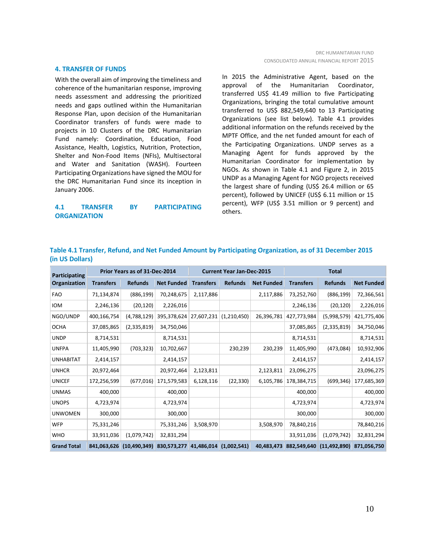#### **4. TRANSFER OF FUNDS**

With the overall aim of improving the timeliness and coherence of the humanitarian response, improving needs assessment and addressing the prioritized needs and gaps outlined within the Humanitarian Response Plan, upon decision of the Humanitarian Coordinator transfers of funds were made to projects in 10 Clusters of the DRC Humanitarian Fund namely: Coordination, Education, Food Assistance, Health, Logistics, Nutrition, Protection, Shelter and Non-Food Items (NFIs), Multisectoral and Water and Sanitation (WASH). Fourteen Participating Organizations have signed the MOU for the DRC Humanitarian Fund since its inception in January 2006.

# **4.1 TRANSFER BY PARTICIPATING ORGANIZATION**

In 2015 the Administrative Agent, based on the approval of the Humanitarian Coordinator, transferred US\$ 41.49 million to five Participating Organizations, bringing the total cumulative amount transferred to US\$ 882,549,640 to 13 Participating Organizations (see list below). Table 4.1 provides additional information on the refunds received by the MPTF Office, and the net funded amount for each of the Participating Organizations. UNDP serves as a Managing Agent for funds approved by the Humanitarian Coordinator for implementation by NGOs. As shown in Table 4.1 and Figure 2, in 2015 UNDP as a Managing Agent for NGO projects received the largest share of funding (US\$ 26.4 million or 65 percent), followed by UNICEF (US\$ 6.11 million or 15 percent), WFP (US\$ 3.51 million or 9 percent) and others.

| Participating      |                  | Prior Years as of 31-Dec-2014 |                        | <b>Current Year Jan-Dec-2015</b> |                |                   | <b>Total</b>     |                          |                   |
|--------------------|------------------|-------------------------------|------------------------|----------------------------------|----------------|-------------------|------------------|--------------------------|-------------------|
| Organization       | <b>Transfers</b> | <b>Refunds</b>                | <b>Net Funded</b>      | <b>Transfers</b>                 | <b>Refunds</b> | <b>Net Funded</b> | <b>Transfers</b> | <b>Refunds</b>           | <b>Net Funded</b> |
| <b>FAO</b>         | 71,134,874       | (886, 199)                    | 70,248,675             | 2,117,886                        |                | 2,117,886         | 73,252,760       | (886, 199)               | 72,366,561        |
| <b>IOM</b>         | 2,246,136        | (20, 120)                     | 2,226,016              |                                  |                |                   | 2,246,136        | (20, 120)                | 2,226,016         |
| NGO/UNDP           | 400,166,754      | (4,788,129)                   | 395,378,624            | 27,607,231                       | (1,210,450)    | 26,396,781        | 427,773,984      | (5,998,579)              | 421,775,406       |
| <b>OCHA</b>        | 37,085,865       | (2,335,819)                   | 34,750,046             |                                  |                |                   | 37,085,865       | (2,335,819)              | 34,750,046        |
| <b>UNDP</b>        | 8,714,531        |                               | 8,714,531              |                                  |                |                   | 8,714,531        |                          | 8,714,531         |
| <b>UNFPA</b>       | 11,405,990       | (703, 323)                    | 10,702,667             |                                  | 230,239        | 230,239           | 11,405,990       | (473,084)                | 10,932,906        |
| <b>UNHABITAT</b>   | 2,414,157        |                               | 2,414,157              |                                  |                |                   | 2,414,157        |                          | 2,414,157         |
| <b>UNHCR</b>       | 20,972,464       |                               | 20,972,464             | 2,123,811                        |                | 2,123,811         | 23,096,275       |                          | 23,096,275        |
| <b>UNICEF</b>      | 172,256,599      | (677, 016)                    | 171,579,583            | 6,128,116                        | (22, 330)      | 6,105,786         | 178,384,715      | (699, 346)               | 177,685,369       |
| <b>UNMAS</b>       | 400,000          |                               | 400,000                |                                  |                |                   | 400,000          |                          | 400,000           |
| <b>UNOPS</b>       | 4,723,974        |                               | 4,723,974              |                                  |                |                   | 4,723,974        |                          | 4,723,974         |
| <b>UNWOMEN</b>     | 300,000          |                               | 300,000                |                                  |                |                   | 300,000          |                          | 300,000           |
| <b>WFP</b>         | 75,331,246       |                               | 75,331,246             | 3,508,970                        |                | 3,508,970         | 78,840,216       |                          | 78,840,216        |
| <b>WHO</b>         | 33,911,036       | (1,079,742)                   | 32,831,294             |                                  |                |                   | 33,911,036       | (1,079,742)              | 32,831,294        |
| <b>Grand Total</b> |                  | 841,063,626 (10,490,349)      | 830,573,277 41,486,014 |                                  | (1,002,541)    | 40,483,473        |                  | 882,549,640 (11,492,890) | 871,056,750       |

# **Table 4.1 Transfer, Refund, and Net Funded Amount by Participating Organization, as of 31 December 2015 (in US Dollars)**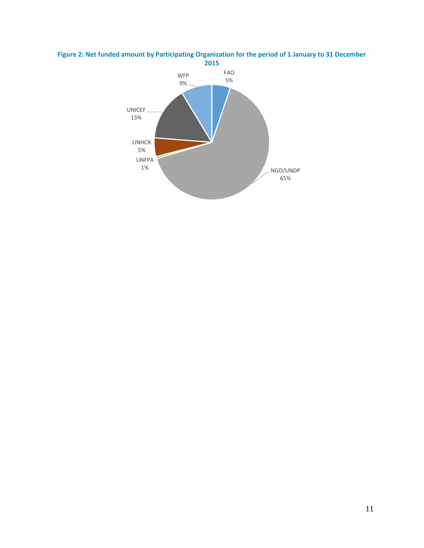

# **Figure 2: Net funded amount by Participating Organization for the period of 1 January to 31 December**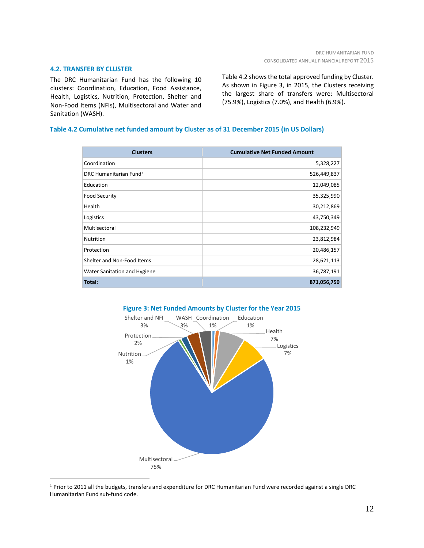# **4.2. TRANSFER BY CLUSTER**

The DRC Humanitarian Fund has the following 10 clusters: Coordination, Education, Food Assistance, Health, Logistics, Nutrition, Protection, Shelter and Non-Food Items (NFIs), Multisectoral and Water and Sanitation (WASH).

Table 4.2 shows the total approved funding by Cluster. As shown in Figure 3, in 2015, the Clusters receiving the largest share of transfers were: Multisectoral (75.9%), Logistics (7.0%), and Health (6.9%).

# **Table 4.2 Cumulative net funded amount by Cluster as of 31 December 2015 (in US Dollars)**

| <b>Clusters</b>                    | <b>Cumulative Net Funded Amount</b> |
|------------------------------------|-------------------------------------|
| Coordination                       | 5,328,227                           |
| DRC Humanitarian Fund <sup>1</sup> | 526,449,837                         |
| Education                          | 12,049,085                          |
| <b>Food Security</b>               | 35,325,990                          |
| Health                             | 30,212,869                          |
| Logistics                          | 43,750,349                          |
| Multisectoral                      | 108,232,949                         |
| Nutrition                          | 23,812,984                          |
| Protection                         | 20,486,157                          |
| Shelter and Non-Food Items         | 28,621,113                          |
| Water Sanitation and Hygiene       | 36,787,191                          |
| Total:                             | 871,056,750                         |



<span id="page-11-0"></span> $1$  Prior to 2011 all the budgets, transfers and expenditure for DRC Humanitarian Fund were recorded against a single DRC Humanitarian Fund sub-fund code.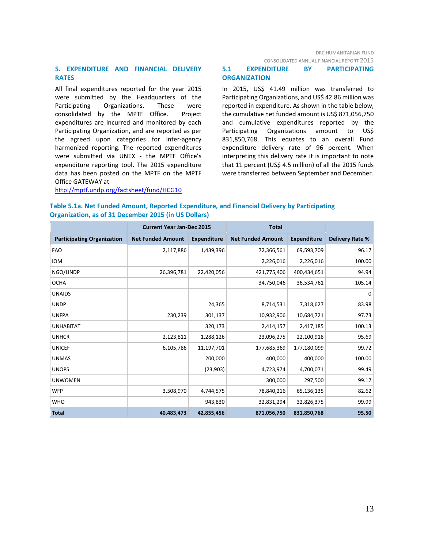# **5. EXPENDITURE AND FINANCIAL DELIVERY RATES**

All final expenditures reported for the year 2015 were submitted by the Headquarters of the Participating Organizations. These were consolidated by the MPTF Office. Project expenditures are incurred and monitored by each Participating Organization, and are reported as per the agreed upon categories for inter-agency harmonized reporting. The reported expenditures were submitted via UNEX - the MPTF Office's expenditure reporting tool. The 2015 expenditure data has been posted on the MPTF on the MPTF Office GATEWAY at

# **5.1 EXPENDITURE BY PARTICIPATING ORGANIZATION**

In 2015, US\$ 41.49 million was transferred to Participating Organizations, and US\$ 42.86 million was reported in expenditure. As shown in the table below, the cumulative net funded amount is US\$ 871,056,750 and cumulative expenditures reported by the Participating Organizations amount to US\$ 831,850,768. This equates to an overall Fund expenditure delivery rate of 96 percent. When interpreting this delivery rate it is important to note that 11 percent (US\$ 4.5 million) of all the 2015 funds were transferred between September and December.

# <http://mptf.undp.org/factsheet/fund/HCG10>

# **Table 5.1a. Net Funded Amount, Reported Expenditure, and Financial Delivery by Participating Organization, as of 31 December 2015 (in US Dollars)**

|                                   |                          | <b>Current Year Jan-Dec 2015</b> |                          | <b>Total</b>       |                        |  |
|-----------------------------------|--------------------------|----------------------------------|--------------------------|--------------------|------------------------|--|
| <b>Participating Organization</b> | <b>Net Funded Amount</b> | <b>Expenditure</b>               | <b>Net Funded Amount</b> | <b>Expenditure</b> | <b>Delivery Rate %</b> |  |
| <b>FAO</b>                        | 2,117,886                | 1,439,396                        | 72,366,561               | 69,593,709         | 96.17                  |  |
| <b>IOM</b>                        |                          |                                  | 2,226,016                | 2,226,016          | 100.00                 |  |
| NGO/UNDP                          | 26,396,781               | 22,420,056                       | 421,775,406              | 400,434,651        | 94.94                  |  |
| <b>OCHA</b>                       |                          |                                  | 34,750,046               | 36,534,761         | 105.14                 |  |
| <b>UNAIDS</b>                     |                          |                                  |                          |                    | $\mathbf 0$            |  |
| <b>UNDP</b>                       |                          | 24,365                           | 8,714,531                | 7,318,627          | 83.98                  |  |
| <b>UNFPA</b>                      | 230,239                  | 301,137                          | 10,932,906               | 10,684,721         | 97.73                  |  |
| <b>UNHABITAT</b>                  |                          | 320,173                          | 2,414,157                | 2,417,185          | 100.13                 |  |
| <b>UNHCR</b>                      | 2,123,811                | 1,288,126                        | 23,096,275               | 22,100,918         | 95.69                  |  |
| <b>UNICEF</b>                     | 6,105,786                | 11,197,701                       | 177,685,369              | 177,180,099        | 99.72                  |  |
| <b>UNMAS</b>                      |                          | 200,000                          | 400,000                  | 400,000            | 100.00                 |  |
| <b>UNOPS</b>                      |                          | (23,903)                         | 4,723,974                | 4,700,071          | 99.49                  |  |
| <b>UNWOMEN</b>                    |                          |                                  | 300,000                  | 297,500            | 99.17                  |  |
| <b>WFP</b>                        | 3,508,970                | 4,744,575                        | 78,840,216               | 65,136,135         | 82.62                  |  |
| <b>WHO</b>                        |                          | 943,830                          | 32,831,294               | 32,826,375         | 99.99                  |  |
| <b>Total</b>                      | 40,483,473               | 42,855,456                       | 871,056,750              | 831,850,768        | 95.50                  |  |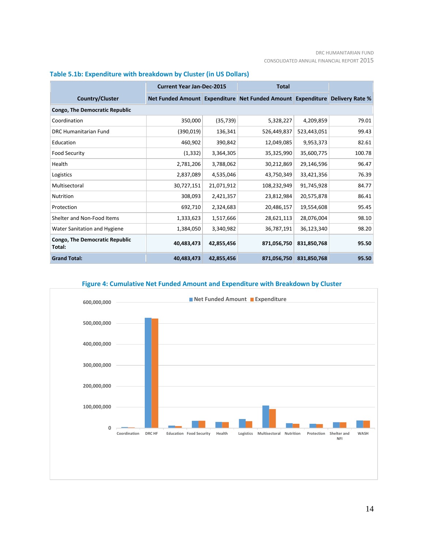#### DRC HUMANITARIAN FUND CONSOLIDATED ANNUAL FINANCIAL REPORT 2015

|                                                 | <b>Current Year Jan-Dec-2015</b> |            | <b>Total</b>                                                                |             |        |  |  |
|-------------------------------------------------|----------------------------------|------------|-----------------------------------------------------------------------------|-------------|--------|--|--|
| <b>Country/Cluster</b>                          |                                  |            | Net Funded Amount Expenditure Net Funded Amount Expenditure Delivery Rate % |             |        |  |  |
| <b>Congo, The Democratic Republic</b>           |                                  |            |                                                                             |             |        |  |  |
| Coordination                                    | 350,000                          | (35, 739)  | 5,328,227                                                                   | 4,209,859   | 79.01  |  |  |
| <b>DRC Humanitarian Fund</b>                    | (390, 019)                       | 136,341    | 526,449,837                                                                 | 523,443,051 | 99.43  |  |  |
| Education                                       | 460,902                          | 390,842    | 12,049,085                                                                  | 9,953,373   | 82.61  |  |  |
| <b>Food Security</b>                            | (1, 332)                         | 3,364,305  | 35,325,990                                                                  | 35,600,775  | 100.78 |  |  |
| Health                                          | 2,781,206                        | 3,788,062  | 30,212,869                                                                  | 29,146,596  | 96.47  |  |  |
| Logistics                                       | 2,837,089                        | 4,535,046  | 43,750,349                                                                  | 33,421,356  | 76.39  |  |  |
| Multisectoral                                   | 30,727,151                       | 21,071,912 | 108,232,949                                                                 | 91,745,928  | 84.77  |  |  |
| <b>Nutrition</b>                                | 308,093                          | 2,421,357  | 23,812,984                                                                  | 20,575,878  | 86.41  |  |  |
| Protection                                      | 692,710                          | 2,324,683  | 20,486,157                                                                  | 19,554,608  | 95.45  |  |  |
| Shelter and Non-Food Items                      | 1,333,623                        | 1,517,666  | 28,621,113                                                                  | 28,076,004  | 98.10  |  |  |
| Water Sanitation and Hygiene                    | 1,384,050                        | 3,340,982  | 36,787,191                                                                  | 36,123,340  | 98.20  |  |  |
| <b>Congo, The Democratic Republic</b><br>Total: | 40,483,473                       | 42,855,456 | 871,056,750                                                                 | 831,850,768 | 95.50  |  |  |
| <b>Grand Total:</b>                             | 40,483,473                       | 42,855,456 | 871,056,750                                                                 | 831,850,768 | 95.50  |  |  |

# **Table 5.1b: Expenditure with breakdown by Cluster (in US Dollars)**



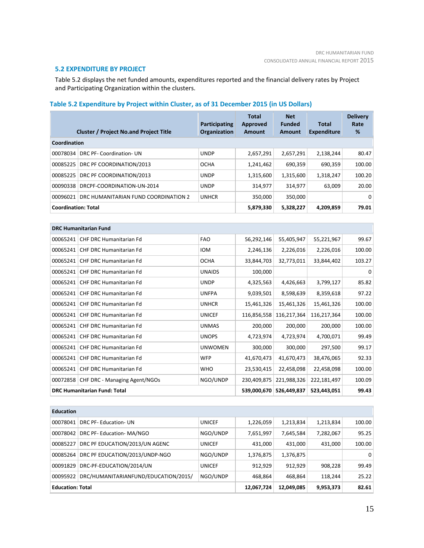# **5.2 EXPENDITURE BY PROJECT**

Table 5.2 displays the net funded amounts, expenditures reported and the financial delivery rates by Project and Participating Organization within the clusters.

# **Table 5.2 Expenditure by Project within Cluster, as of 31 December 2015 (in US Dollars)**

|                            | <b>Cluster / Project No.and Project Title</b> | Participating<br>Organization | <b>Total</b><br><b>Approved</b><br>Amount | <b>Net</b><br><b>Funded</b><br>Amount | <b>Total</b><br><b>Expenditure</b> | <b>Delivery</b><br>Rate<br>% |  |  |
|----------------------------|-----------------------------------------------|-------------------------------|-------------------------------------------|---------------------------------------|------------------------------------|------------------------------|--|--|
| Coordination               |                                               |                               |                                           |                                       |                                    |                              |  |  |
| 00078034                   | DRC PF- Coordination- UN                      | <b>UNDP</b>                   | 2,657,291                                 | 2,657,291                             | 2,138,244                          | 80.47                        |  |  |
| 00085225                   | DRC PF COORDINATION/2013                      | <b>OCHA</b>                   | 1,241,462                                 | 690.359                               | 690.359                            | 100.00                       |  |  |
| 00085225                   | DRC PF COORDINATION/2013                      | <b>UNDP</b>                   | 1,315,600                                 | 1,315,600                             | 1,318,247                          | 100.20                       |  |  |
| 00090338                   | DRCPF-COORDINATION-UN-2014                    | <b>UNDP</b>                   | 314.977                                   | 314.977                               | 63.009                             | 20.00                        |  |  |
| 00096021                   | DRC HUMANITARIAN FUND COORDINATION 2          | <b>UNHCR</b>                  | 350.000                                   | 350.000                               |                                    | $\Omega$                     |  |  |
| <b>Coordination: Total</b> |                                               | 5,879,330                     | 5,328,227                                 | 4,209,859                             | 79.01                              |                              |  |  |

|                                     | <b>DRC Humanitarian Fund</b>   |                |             |             |             |        |  |  |
|-------------------------------------|--------------------------------|----------------|-------------|-------------|-------------|--------|--|--|
| 00065241                            | <b>CHF DRC Humanitarian Fd</b> | <b>FAO</b>     | 56,292,146  | 55,405,947  | 55,221,967  | 99.67  |  |  |
| 00065241                            | <b>CHF DRC Humanitarian Fd</b> | <b>IOM</b>     | 2,246,136   | 2,226,016   | 2,226,016   | 100.00 |  |  |
| 00065241                            | <b>CHF DRC Humanitarian Fd</b> | <b>OCHA</b>    | 33,844,703  | 32,773,011  | 33,844,402  | 103.27 |  |  |
| 00065241                            | <b>CHF DRC Humanitarian Fd</b> | <b>UNAIDS</b>  | 100,000     |             |             | 0      |  |  |
| 00065241                            | CHF DRC Humanitarian Fd        | <b>UNDP</b>    | 4,325,563   | 4,426,663   | 3,799,127   | 85.82  |  |  |
| 00065241                            | <b>CHF DRC Humanitarian Fd</b> | <b>UNFPA</b>   | 9,039,501   | 8,598,639   | 8,359,618   | 97.22  |  |  |
| 00065241                            | <b>CHF DRC Humanitarian Fd</b> | <b>UNHCR</b>   | 15,461,326  | 15,461,326  | 15,461,326  | 100.00 |  |  |
| 00065241                            | <b>CHF DRC Humanitarian Fd</b> | <b>UNICEF</b>  | 116,856,558 | 116,217,364 | 116,217,364 | 100.00 |  |  |
| 00065241                            | <b>CHF DRC Humanitarian Fd</b> | <b>UNMAS</b>   | 200,000     | 200,000     | 200,000     | 100.00 |  |  |
| 00065241                            | <b>CHF DRC Humanitarian Fd</b> | <b>UNOPS</b>   | 4,723,974   | 4,723,974   | 4,700,071   | 99.49  |  |  |
| 00065241                            | CHF DRC Humanitarian Fd        | <b>UNWOMEN</b> | 300,000     | 300,000     | 297,500     | 99.17  |  |  |
| 00065241                            | <b>CHF DRC Humanitarian Fd</b> | <b>WFP</b>     | 41,670,473  | 41,670,473  | 38,476,065  | 92.33  |  |  |
| 00065241                            | CHF DRC Humanitarian Fd        | <b>WHO</b>     | 23,530,415  | 22,458,098  | 22,458,098  | 100.00 |  |  |
| 00072858                            | CHF DRC - Managing Agent/NGOs  | NGO/UNDP       | 230,409,875 | 221,988,326 | 222,181,497 | 100.09 |  |  |
| <b>DRC Humanitarian Fund: Total</b> |                                |                | 539,000,670 | 526,449,837 | 523,443,051 | 99.43  |  |  |

| <b>Education</b>        |                                      |               |            |           |           |                |
|-------------------------|--------------------------------------|---------------|------------|-----------|-----------|----------------|
| 00078041                | DRC PF-Education-UN                  | <b>UNICEF</b> | 1,226,059  | 1,213,834 | 1,213,834 | 100.00         |
| 00078042                | DRC PF-Education-MA/NGO              | NGO/UNDP      | 7,651,997  | 7,645,584 | 7,282,067 | 95.25          |
| 00085227                | DRC PF EDUCATION/2013/UN AGENC       | <b>UNICEF</b> | 431,000    | 431.000   | 431.000   | 100.00         |
| 00085264                | DRC PF EDUCATION/2013/UNDP-NGO       | NGO/UNDP      | 1,376,875  | 1,376,875 |           | 0 <sup>1</sup> |
| 00091829                | DRC-PF-EDUCATION/2014/UN             | <b>UNICEF</b> | 912,929    | 912,929   | 908,228   | 99.49          |
| 00095922                | DRC/HUMANITARIANFUND/EDUCATION/2015/ | NGO/UNDP      | 468.864    | 468,864   | 118.244   | 25.22          |
| <b>Education: Total</b> |                                      | 12,067,724    | 12,049,085 | 9,953,373 | 82.61     |                |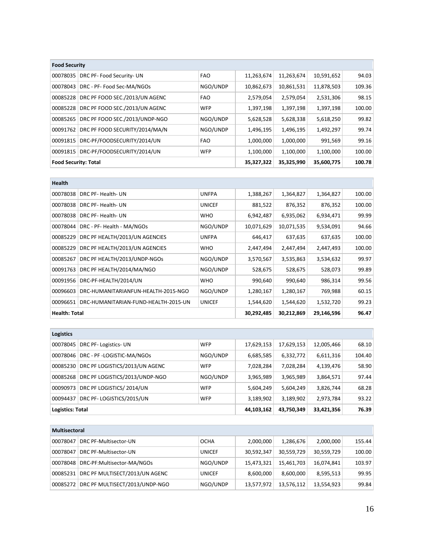| <b>Food Security</b>        |                                |            |            |            |            |        |  |
|-----------------------------|--------------------------------|------------|------------|------------|------------|--------|--|
| 00078035                    | DRC PF- Food Security- UN      | <b>FAO</b> | 11,263,674 | 11,263,674 | 10,591,652 | 94.03  |  |
| 00078043                    | DRC - PF- Food Sec-MA/NGOs     | NGO/UNDP   | 10,862,673 | 10,861,531 | 11,878,503 | 109.36 |  |
| 00085228                    | DRC PF FOOD SEC./2013/UN AGENC | <b>FAO</b> | 2,579,054  | 2,579,054  | 2,531,306  | 98.15  |  |
| 00085228                    | DRC PF FOOD SEC./2013/UN AGENC | <b>WFP</b> | 1,397,198  | 1,397,198  | 1,397,198  | 100.00 |  |
| 00085265                    | DRC PF FOOD SEC./2013/UNDP-NGO | NGO/UNDP   | 5,628,528  | 5,628,338  | 5,618,250  | 99.82  |  |
| 00091762                    | DRC PF FOOD SECURITY/2014/MA/N | NGO/UNDP   | 1,496,195  | 1,496,195  | 1,492,297  | 99.74  |  |
| 00091815                    | DRC-PF/FOODSECURITY/2014/UN    | <b>FAO</b> | 1,000,000  | 1,000,000  | 991,569    | 99.16  |  |
| 00091815                    | DRC-PF/FOODSECURITY/2014/UN    | <b>WFP</b> | 1,100,000  | 1,100,000  | 1,100,000  | 100.00 |  |
| <b>Food Security: Total</b> |                                | 35,327,322 | 35,325,990 | 35,600,775 | 100.78     |        |  |

| <b>Health</b>        |                                      |               |            |            |            |        |
|----------------------|--------------------------------------|---------------|------------|------------|------------|--------|
| 00078038             | DRC PF- Health- UN                   | <b>UNFPA</b>  | 1,388,267  | 1,364,827  | 1,364,827  | 100.00 |
| 00078038             | DRC PF- Health- UN                   | <b>UNICEF</b> | 881,522    | 876,352    | 876,352    | 100.00 |
| 00078038             | DRC PF- Health- UN                   | <b>WHO</b>    | 6,942,487  | 6,935,062  | 6,934,471  | 99.99  |
| 00078044             | DRC - PF- Health - MA/NGOs           | NGO/UNDP      | 10,071,629 | 10,071,535 | 9,534,091  | 94.66  |
| 00085229             | DRC PF HEALTH/2013/UN AGENCIES       | <b>UNFPA</b>  | 646,417    | 637,635    | 637,635    | 100.00 |
| 00085229             | DRC PF HEALTH/2013/UN AGENCIES       | <b>WHO</b>    | 2,447,494  | 2,447,494  | 2,447,493  | 100.00 |
| 00085267             | DRC PF HEALTH/2013/UNDP-NGOS         | NGO/UNDP      | 3,570,567  | 3,535,863  | 3,534,632  | 99.97  |
| 00091763             | DRC PF HEALTH/2014/MA/NGO            | NGO/UNDP      | 528,675    | 528,675    | 528,073    | 99.89  |
| 00091956             | DRC-PF-HEALTH/2014/UN                | <b>WHO</b>    | 990,640    | 990,640    | 986,314    | 99.56  |
| 00096603             | DRC-HUMANITARIANFUN-HEALTH-2015-NGO  | NGO/UNDP      | 1,280,167  | 1,280,167  | 769,988    | 60.15  |
| 00096651             | DRC-HUMANITARIAN-FUND-HEALTH-2015-UN | <b>UNICEF</b> | 1,544,620  | 1,544,620  | 1,532,720  | 99.23  |
| <b>Health: Total</b> |                                      |               | 30,292,485 | 30,212,869 | 29,146,596 | 96.47  |

| <b>Logistics</b>        |                                |            |            |            |            |        |
|-------------------------|--------------------------------|------------|------------|------------|------------|--------|
| 00078045                | DRC PF-Logistics-UN            | <b>WFP</b> | 17,629,153 | 17,629,153 | 12,005,466 | 68.10  |
| 00078046                | DRC - PF -LOGISTIC-MA/NGOs     | NGO/UNDP   | 6,685,585  | 6,332,772  | 6,611,316  | 104.40 |
| 00085230                | DRC PF LOGISTICS/2013/UN AGENC | <b>WFP</b> | 7,028,284  | 7,028,284  | 4,139,476  | 58.90  |
| 00085268                | DRC PF LOGISTICS/2013/UNDP-NGO | NGO/UNDP   | 3,965,989  | 3,965,989  | 3,864,571  | 97.44  |
| 00090973                | DRC PF LOGISTICS/2014/UN       | <b>WFP</b> | 5,604,249  | 5,604,249  | 3,826,744  | 68.28  |
| 00094437                | DRC PF-LOGISTICS/2015/UN       | <b>WFP</b> | 3,189,902  | 3,189,902  | 2,973,784  | 93.22  |
| <b>Logistics: Total</b> |                                |            | 44,103,162 | 43,750,349 | 33,421,356 | 76.39  |

| <b>Multisectoral</b> |                                |               |            |            |            |        |
|----------------------|--------------------------------|---------------|------------|------------|------------|--------|
| 00078047             | DRC PF-Multisector-UN          | <b>OCHA</b>   | 2,000,000  | 1,286,676  | 2,000,000  | 155.44 |
| 00078047             | DRC PF-Multisector-UN          | <b>UNICEF</b> | 30,592,347 | 30,559,729 | 30,559,729 | 100.00 |
| 00078048             | DRC-PF:Multisector-MA/NGOs     | NGO/UNDP      | 15,473,321 | 15.461.703 | 16,074,841 | 103.97 |
| 00085231             | DRC PF MULTISECT/2013/UN AGENC | <b>UNICEF</b> | 8,600,000  | 8,600,000  | 8,595,513  | 99.95  |
| 00085272             | DRC PF MULTISECT/2013/UNDP-NGO | NGO/UNDP      | 13,577,972 | 13,576,112 | 13,554,923 | 99.84  |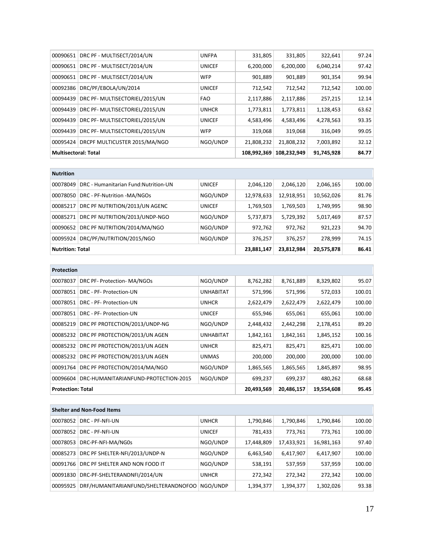| 00090651                    | DRC PF - MULTISECT/2014/UN     | <b>UNFPA</b>  | 331,805     | 331,805     | 322,641    | 97.24  |
|-----------------------------|--------------------------------|---------------|-------------|-------------|------------|--------|
| 00090651                    | DRC PF - MULTISECT/2014/UN     | <b>UNICEF</b> | 6,200,000   | 6,200,000   | 6,040,214  | 97.42  |
| 00090651                    | DRC PF - MULTISECT/2014/UN     | <b>WFP</b>    | 901,889     | 901,889     | 901,354    | 99.94  |
| 00092386                    | DRC/PF/EBOLA/UN/2014           | <b>UNICEF</b> | 712,542     | 712,542     | 712,542    | 100.00 |
| 00094439                    | DRC PF- MULTISECTORIEL/2015/UN | <b>FAO</b>    | 2,117,886   | 2,117,886   | 257,215    | 12.14  |
| 00094439                    | DRC PF- MULTISECTORIEL/2015/UN | <b>UNHCR</b>  | 1,773,811   | 1,773,811   | 1,128,453  | 63.62  |
| 00094439                    | DRC PF- MULTISECTORIEL/2015/UN | <b>UNICEF</b> | 4,583,496   | 4,583,496   | 4,278,563  | 93.35  |
| 00094439                    | DRC PF- MULTISECTORIEL/2015/UN | <b>WFP</b>    | 319,068     | 319,068     | 316,049    | 99.05  |
| 00095424                    | DRCPF MULTICUSTER 2015/MA/NGO  | NGO/UNDP      | 21,808,232  | 21,808,232  | 7,003,892  | 32.12  |
| <b>Multisectoral: Total</b> |                                |               | 108,992,369 | 108,232,949 | 91,745,928 | 84.77  |

| <b>Nutrition</b> |                                       |               |            |            |            |        |
|------------------|---------------------------------------|---------------|------------|------------|------------|--------|
| 00078049         | DRC - Humanitarian Fund: Nutrition-UN | <b>UNICEF</b> | 2,046,120  | 2,046,120  | 2,046,165  | 100.00 |
| 00078050         | DRC - PF-Nutrition -MA/NGOs           | NGO/UNDP      | 12,978,633 | 12,918,951 | 10,562,026 | 81.76  |
| 00085217         | DRC PF NUTRITION/2013/UN AGENC        | <b>UNICEF</b> | 1,769,503  | 1,769,503  | 1,749,995  | 98.90  |
| 00085271         | DRC PF NUTRITION/2013/UNDP-NGO        | NGO/UNDP      | 5,737,873  | 5,729,392  | 5,017,469  | 87.57  |
| 00090652         | DRC PF NUTRITION/2014/MA/NGO          | NGO/UNDP      | 972,762    | 972,762    | 921,223    | 94.70  |
| 00095924         | DRC/PF/NUTRITION/2015/NGO             | NGO/UNDP      | 376,257    | 376,257    | 278,999    | 74.15  |
|                  | <b>Nutrition: Total</b>               |               |            | 23,812,984 | 20,575,878 | 86.41  |

| <b>Protection</b>        |                                      |                                        |           |           |           |        |
|--------------------------|--------------------------------------|----------------------------------------|-----------|-----------|-----------|--------|
| 00078037                 | DRC PF- Protection- MA/NGOs          | NGO/UNDP                               | 8,762,282 | 8,761,889 | 8,329,802 | 95.07  |
| 00078051                 | DRC - PF- Protection-UN              | <b>UNHABITAT</b>                       | 571,996   | 571,996   | 572,033   | 100.01 |
| 00078051                 | DRC - PF- Protection-UN              | <b>UNHCR</b>                           | 2,622,479 | 2,622,479 | 2,622,479 | 100.00 |
| 00078051                 | DRC - PF- Protection-UN              | <b>UNICEF</b>                          | 655,946   | 655,061   | 655,061   | 100.00 |
| 00085219                 | DRC PF PROTECTION/2013/UNDP-NG       | NGO/UNDP                               | 2,448,432 | 2,442,298 | 2,178,451 | 89.20  |
| 00085232                 | DRC PF PROTECTION/2013/UN AGEN       | <b>UNHABITAT</b>                       | 1,842,161 | 1,842,161 | 1,845,152 | 100.16 |
| 00085232                 | DRC PF PROTECTION/2013/UN AGEN       | <b>UNHCR</b>                           | 825,471   | 825,471   | 825,471   | 100.00 |
| 00085232                 | DRC PF PROTECTION/2013/UN AGEN       | <b>UNMAS</b>                           | 200,000   | 200,000   | 200,000   | 100.00 |
| 00091764                 | DRC PF PROTECTION/2014/MA/NGO        | NGO/UNDP                               | 1,865,565 | 1,865,565 | 1,845,897 | 98.95  |
| 00096604                 | DRC-HUMANITARIANFUND-PROTECTION-2015 | NGO/UNDP                               | 699,237   | 699,237   | 480,262   | 68.68  |
| <b>Protection: Total</b> |                                      | 19,554,608<br>20,493,569<br>20,486,157 |           | 95.45     |           |        |

|          | <b>Shelter and Non-Food Items</b>    |               |            |            |            |        |
|----------|--------------------------------------|---------------|------------|------------|------------|--------|
| 00078052 | DRC - PF-NFI-UN                      | <b>UNHCR</b>  | 1,790,846  | 1,790,846  | 1,790,846  | 100.00 |
| 00078052 | DRC - PF-NFI-UN                      | <b>UNICEF</b> | 781,433    | 773,761    | 773,761    | 100.00 |
| 00078053 | DRC-PF-NFI-MA/NG0s                   | NGO/UNDP      | 17,448,809 | 17,433,921 | 16,981,163 | 97.40  |
| 00085273 | DRC PF SHELTER-NFI/2013/UNDP-N       | NGO/UNDP      | 6,463,540  | 6,417,907  | 6,417,907  | 100.00 |
| 00091766 | DRC PF SHELTER AND NON FOOD IT       | NGO/UNDP      | 538,191    | 537,959    | 537,959    | 100.00 |
| 00091830 | DRC-PF-SHELTERANDNFI/2014/UN         | <b>UNHCR</b>  | 272,342    | 272,342    | 272,342    | 100.00 |
| 00095925 | DRF/HUMANITARIANFUND/SHELTERANDNOFOO | NGO/UNDP      | 1,394,377  | 1,394,377  | 1,302,026  | 93.38  |

÷,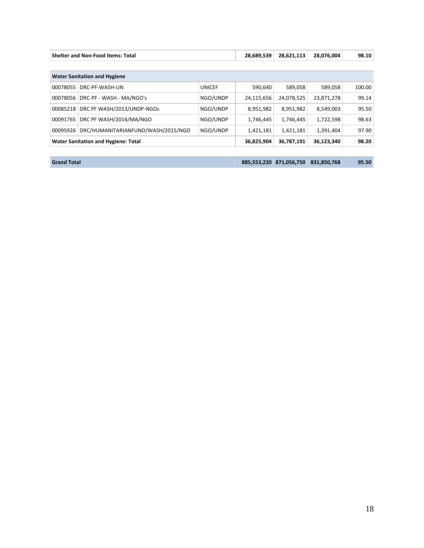| <b>Shelter and Non-Food Items: Total</b> |                                            | 28,689,539    | 28,621,113  | 28,076,004  | 98.10       |        |  |
|------------------------------------------|--------------------------------------------|---------------|-------------|-------------|-------------|--------|--|
|                                          |                                            |               |             |             |             |        |  |
| <b>Water Sanitation and Hygiene</b>      |                                            |               |             |             |             |        |  |
| 00078055                                 | DRC-PF-WASH-UN                             | <b>UNICEF</b> | 590.640     | 589,058     | 589,058     | 100.00 |  |
| 00078056                                 | DRC-PF - WASH - MA/NGO's                   | NGO/UNDP      | 24,115,656  | 24,078,525  | 23,871,278  | 99.14  |  |
| 00085218                                 | DRC PF WASH/2013/UNDP-NGOS                 | NGO/UNDP      | 8,951,982   | 8,951,982   | 8,549,003   | 95.50  |  |
| 00091765                                 | DRC PF WASH/2014/MA/NGO                    | NGO/UNDP      | 1,746,445   | 1,746,445   | 1,722,598   | 98.63  |  |
| 00095926                                 | DRC/HUMANITARIANFUND/WASH/2015/NGO         | NGO/UNDP      | 1,421,181   | 1,421,181   | 1,391,404   | 97.90  |  |
|                                          | <b>Water Sanitation and Hygiene: Total</b> |               | 36,825,904  | 36,787,191  | 36,123,340  | 98.20  |  |
|                                          |                                            |               |             |             |             |        |  |
| <b>Grand Total</b>                       |                                            |               | 885,553,220 | 871,056,750 | 831,850,768 | 95.50  |  |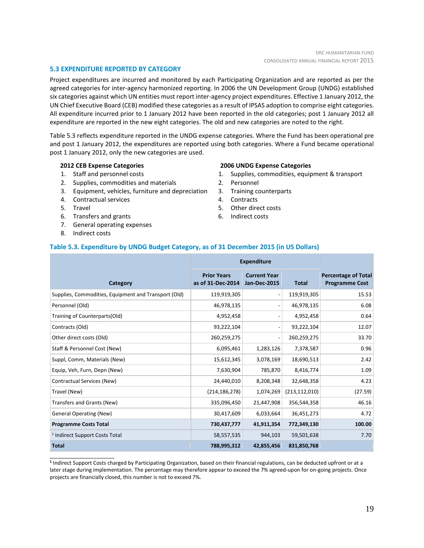# **5.3 EXPENDITURE REPORTED BY CATEGORY**

Project expenditures are incurred and monitored by each Participating Organization and are reported as per the agreed categories for inter-agency harmonized reporting. In 2006 the UN Development Group (UNDG) established six categories against which UN entities must report inter-agency project expenditures. Effective 1 January 2012, the UN Chief Executive Board (CEB) modified these categories as a result of IPSAS adoption to comprise eight categories. All expenditure incurred prior to 1 January 2012 have been reported in the old categories; post 1 January 2012 all expenditure are reported in the new eight categories. The old and new categories are noted to the right.

Table 5.3 reflects expenditure reported in the UNDG expense categories. Where the Fund has been operational pre and post 1 January 2012, the expenditures are reported using both categories. Where a Fund became operational post 1 January 2012, only the new categories are used.

## **2012 CEB Expense Categories**

- 1. Staff and personnel costs
- 2. Supplies, commodities and materials
- 3. Equipment, vehicles, furniture and depreciation
- 4. Contractual services
- 5. Travel
- 6. Transfers and grants
- 7. General operating expenses
- 8. Indirect costs

\_\_\_\_\_\_\_\_\_\_\_\_\_\_\_\_\_\_\_\_\_\_

#### **2006 UNDG Expense Categories**

- 1. Supplies, commodities, equipment & transport
- 2. Personnel
- 3. Training counterparts
- 4. Contracts
- 5. Other direct costs
- 6. Indirect costs

## **Table 5.3. Expenditure by UNDG Budget Category, as of 31 December 2015 (in US Dollars)**

|                                                      | <b>Expenditure</b>                      |                                            |                 |                                                     |
|------------------------------------------------------|-----------------------------------------|--------------------------------------------|-----------------|-----------------------------------------------------|
| Category                                             | <b>Prior Years</b><br>as of 31-Dec-2014 | <b>Current Year</b><br><b>Jan-Dec-2015</b> | <b>Total</b>    | <b>Percentage of Total</b><br><b>Programme Cost</b> |
| Supplies, Commodities, Equipment and Transport (Old) | 119,919,305                             |                                            | 119,919,305     | 15.53                                               |
| Personnel (Old)                                      | 46,978,135                              |                                            | 46,978,135      | 6.08                                                |
| Training of Counterparts(Old)                        | 4,952,458                               |                                            | 4,952,458       | 0.64                                                |
| Contracts (Old)                                      | 93,222,104                              |                                            | 93,222,104      | 12.07                                               |
| Other direct costs (Old)                             | 260,259,275                             |                                            | 260,259,275     | 33.70                                               |
| Staff & Personnel Cost (New)                         | 6,095,461                               | 1,283,126                                  | 7,378,587       | 0.96                                                |
| Suppl, Comm, Materials (New)                         | 15,612,345                              | 3,078,169                                  | 18,690,513      | 2.42                                                |
| Equip, Veh, Furn, Depn (New)                         | 7,630,904                               | 785,870                                    | 8,416,774       | 1.09                                                |
| Contractual Services (New)                           | 24,440,010                              | 8,208,348                                  | 32,648,358      | 4.23                                                |
| Travel (New)                                         | (214, 186, 278)                         | 1,074,269                                  | (213, 112, 010) | (27.59)                                             |
| Transfers and Grants (New)                           | 335,096,450                             | 21,447,908                                 | 356,544,358     | 46.16                                               |
| <b>General Operating (New)</b>                       | 30,417,609                              | 6,033,664                                  | 36,451,273      | 4.72                                                |
| <b>Programme Costs Total</b>                         | 730,437,777                             | 41,911,354                                 | 772,349,130     | 100.00                                              |
| <sup>1</sup> Indirect Support Costs Total            | 58,557,535                              | 944,103                                    | 59,501,638      | 7.70                                                |
| <b>Total</b>                                         | 788,995,312                             | 42,855,456                                 | 831,850,768     |                                                     |

**<sup>1</sup>** Indirect Support Costs charged by Participating Organization, based on their financial regulations, can be deducted upfront or at a later stage during implementation. The percentage may therefore appear to exceed the 7% agreed-upon for on-going projects. Once projects are financially closed, this number is not to exceed 7%.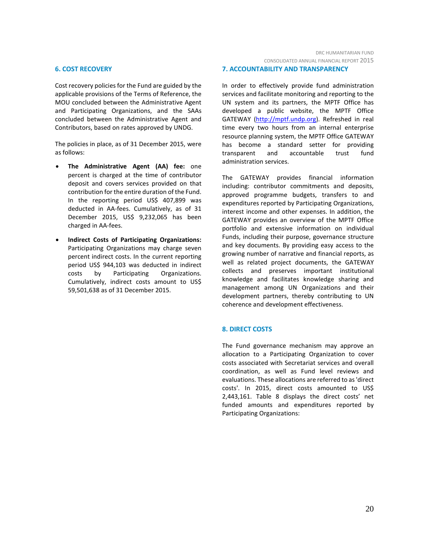#### **6. COST RECOVERY**

Cost recovery policies for the Fund are guided by the applicable provisions of the Terms of Reference, the MOU concluded between the Administrative Agent and Participating Organizations, and the SAAs concluded between the Administrative Agent and Contributors, based on rates approved by UNDG.

The policies in place, as of 31 December 2015, were as follows:

- **The Administrative Agent (AA) fee:** one percent is charged at the time of contributor deposit and covers services provided on that contribution for the entire duration of the Fund. In the reporting period US\$ 407,899 was deducted in AA-fees. Cumulatively, as of 31 December 2015, US\$ 9,232,065 has been charged in AA-fees.
- **Indirect Costs of Participating Organizations:** Participating Organizations may charge seven percent indirect costs. In the current reporting period US\$ 944,103 was deducted in indirect costs by Participating Organizations. Cumulatively, indirect costs amount to US\$ 59,501,638 as of 31 December 2015.

#### **7. ACCOUNTABILITY AND TRANSPARENCY**

In order to effectively provide fund administration services and facilitate monitoring and reporting to the UN system and its partners, the MPTF Office has developed a public website, the MPTF Office GATEWAY [\(http://mptf.undp.org\)](http://mptf.undp.org/). Refreshed in real time every two hours from an internal enterprise resource planning system, the MPTF Office GATEWAY has become a standard setter for providing transparent and accountable trust fund administration services.

The GATEWAY provides financial information including: contributor commitments and deposits, approved programme budgets, transfers to and expenditures reported by Participating Organizations, interest income and other expenses. In addition, the GATEWAY provides an overview of the MPTF Office portfolio and extensive information on individual Funds, including their purpose, governance structure and key documents. By providing easy access to the growing number of narrative and financial reports, as well as related project documents, the GATEWAY collects and preserves important institutional knowledge and facilitates knowledge sharing and management among UN Organizations and their development partners, thereby contributing to UN coherence and development effectiveness.

# **8. DIRECT COSTS**

The Fund governance mechanism may approve an allocation to a Participating Organization to cover costs associated with Secretariat services and overall coordination, as well as Fund level reviews and evaluations. These allocations are referred to as 'direct costs'. In 2015, direct costs amounted to US\$ 2,443,161. Table 8 displays the direct costs' net funded amounts and expenditures reported by Participating Organizations: